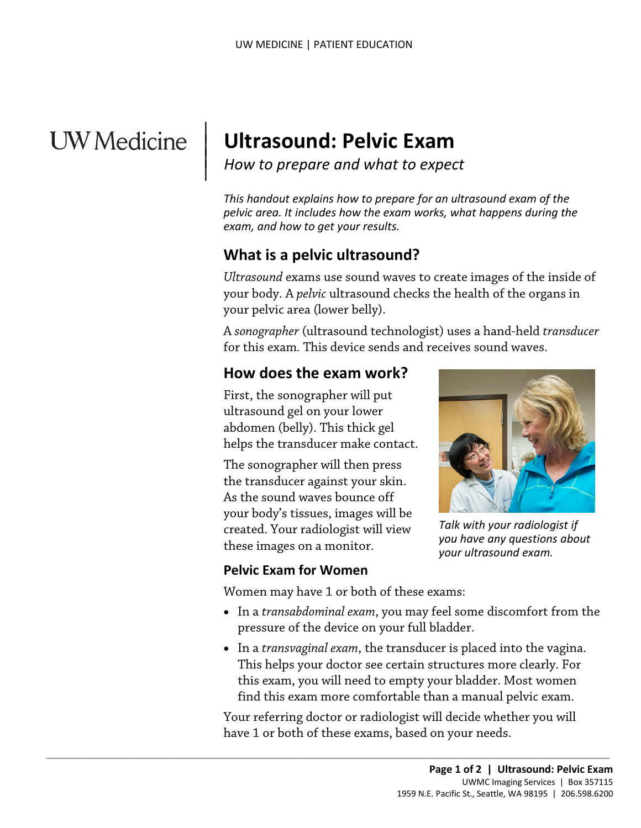# **UW** Medicine

 $\parallel$  $\vert$  $\vert$ 

# **Ultrasound: Pelvic Exam**

*How to prepare and what to expect*

*This handout explains how to prepare for an ultrasound exam of the pelvic area. It includes how the exam works, what happens during the exam, and how to get your results.* 

# **What is a pelvic ultrasound?**

your body. A *pelvic* ultrasound checks the health of the organ<br>your pelvic area (lower belly).<br>A *sonographer* (ultrasound technologist) uses a hand-held *tra*<br>for this exam. This device sends and receives sound waves.<br>**H** *Ultrasound* exams use sound waves to create images of the inside of your body. A *pelvic* ultrasound checks the health of the organs in your pelvic area (lower belly).

A *sonographer* (ultrasound technologist) uses a hand-held *transducer* for this exam*.* This device sends and receives sound waves.

#### **How does the exam work?**

First, the sonographer will put ultrasound gel on your lower abdomen (belly). This thick gel helps the transducer make contact.

The sonographer will then press the transducer against your skin. As the sound waves bounce off your body's tissues, images will be created. Your radiologist will view these images on a monitor.

#### **Pelvic Exam for Women**

Women may have 1 or both of these exams:

 $\_$  ,  $\_$  ,  $\_$  ,  $\_$  ,  $\_$  ,  $\_$  ,  $\_$  ,  $\_$  ,  $\_$  ,  $\_$  ,  $\_$  ,  $\_$  ,  $\_$  ,  $\_$  ,  $\_$  ,  $\_$  ,  $\_$  ,  $\_$  ,  $\_$  ,  $\_$  ,  $\_$  ,  $\_$  ,  $\_$  ,  $\_$  ,  $\_$  ,  $\_$  ,  $\_$  ,  $\_$  ,  $\_$  ,  $\_$  ,  $\_$  ,  $\_$  ,  $\_$  ,  $\_$  ,  $\_$  ,  $\_$  ,  $\_$  ,

- In a *transabdominal exam*, you may feel some discomfort from the pressure of the device on your full bladder.
- In a *transvaginal exam*, the transducer is placed into the vagina. This helps your doctor see certain structures more clearly. For this exam, you will need to empty your bladder. Most women find this exam more comfortable than a manual pelvic exam.

Your referring doctor or radiologist will decide whether you will have 1 or both of these exams, based on your needs.



*Talk with your radiologist if you have any questions about your ultrasound exam.*